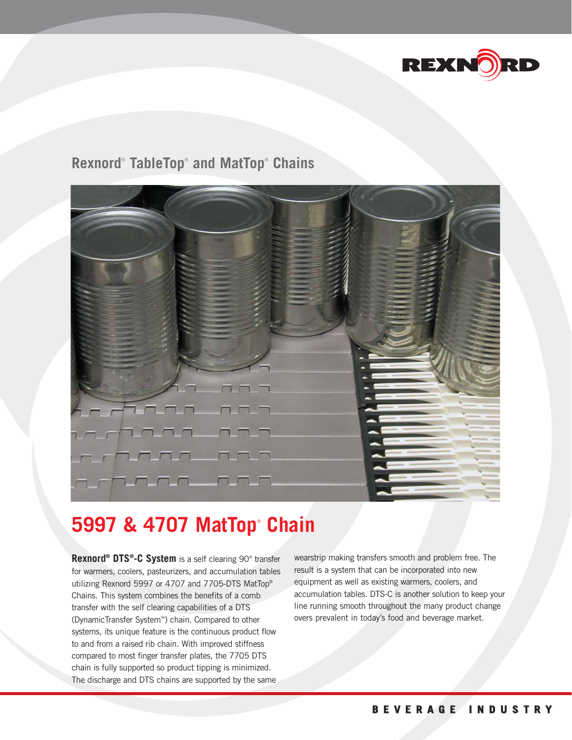

# **Rexnord**® **TableTop**® **and MatTop**® **Chains**



# **5997 & 4707 MatTop**® **Chain**

**Rexnord® DTS®-C System** is a self clearing 90° transfer for warmers, coolers, pasteurizers, and accumulation tables utilizing Rexnord 5997 or 4707 and 7705-DTS MatTop® Chains. This system combines the benefits of a comb transfer with the self clearing capabilities of a DTS (DynamicTransfer System™) chain. Compared to other systems, its unique feature is the continuous product flow to and from a raised rib chain. With improved stiffness compared to most finger transfer plates, the 7705 DTS chain is fully supported so product tipping is minimized. The discharge and DTS chains are supported by the same

wearstrip making transfers smooth and problem free. The result is a system that can be incorporated into new equipment as well as existing warmers, coolers, and accumulation tables. DTS-C is another solution to keep your line running smooth throughout the many product change overs prevalent in today's food and beverage market.